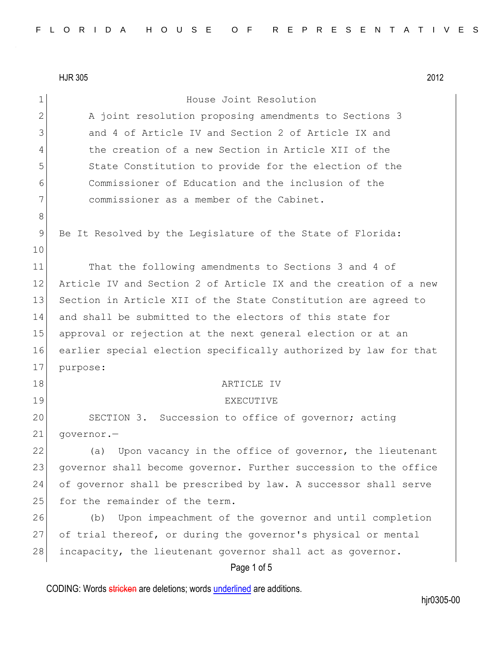Page 1 of 5 1 **House** Joint Resolution 2 A joint resolution proposing amendments to Sections 3 3 3 and 4 of Article IV and Section 2 of Article IX and 4 the creation of a new Section in Article XII of the 5 State Constitution to provide for the election of the 6 Commissioner of Education and the inclusion of the 7 **commissioner as a member of the Cabinet.** 8 9 Be It Resolved by the Legislature of the State of Florida: 10 11 That the following amendments to Sections 3 and 4 of 12 Article IV and Section 2 of Article IX and the creation of a new 13 Section in Article XII of the State Constitution are agreed to 14 and shall be submitted to the electors of this state for 15 approval or rejection at the next general election or at an 16 earlier special election specifically authorized by law for that 17 purpose: 18 ARTICLE IV 19 EXECUTIVE 20 SECTION 3. Succession to office of governor; acting 21 governor.-22 (a) Upon vacancy in the office of governor, the lieutenant 23 governor shall become governor. Further succession to the office 24 of governor shall be prescribed by law. A successor shall serve 25 for the remainder of the term. 26 (b) Upon impeachment of the governor and until completion 27 of trial thereof, or during the governor's physical or mental 28 incapacity, the lieutenant governor shall act as governor.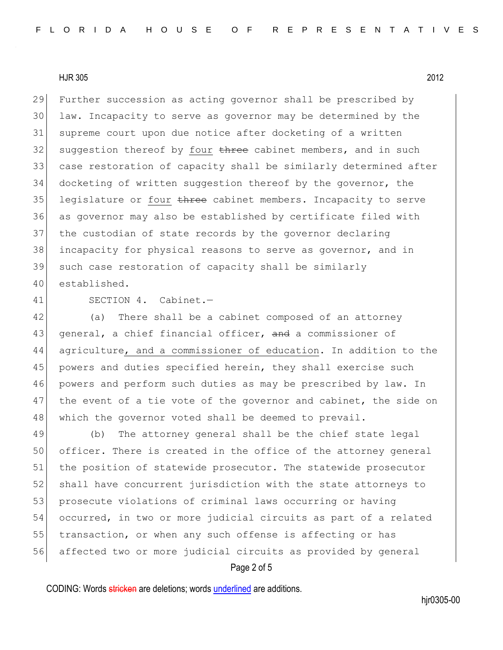Further succession as acting governor shall be prescribed by law. Incapacity to serve as governor may be determined by the supreme court upon due notice after docketing of a written 32 suggestion thereof by four  $t$ hree cabinet members, and in such case restoration of capacity shall be similarly determined after docketing of written suggestion thereof by the governor, the 35 legislature or four three cabinet members. Incapacity to serve as governor may also be established by certificate filed with the custodian of state records by the governor declaring 38 incapacity for physical reasons to serve as governor, and in such case restoration of capacity shall be similarly established.

41 SECTION 4. Cabinet.—

42 (a) There shall be a cabinet composed of an attorney 43 general, a chief financial officer, and a commissioner of 44 agriculture, and a commissioner of education. In addition to the 45 powers and duties specified herein, they shall exercise such 46 powers and perform such duties as may be prescribed by law. In 47 the event of a tie vote of the governor and cabinet, the side on 48 which the governor voted shall be deemed to prevail.

49 (b) The attorney general shall be the chief state legal 50 officer. There is created in the office of the attorney general 51 the position of statewide prosecutor. The statewide prosecutor 52 shall have concurrent jurisdiction with the state attorneys to 53 prosecute violations of criminal laws occurring or having 54 occurred, in two or more judicial circuits as part of a related 55 transaction, or when any such offense is affecting or has 56 affected two or more judicial circuits as provided by general

# Page 2 of 5

CODING: Words stricken are deletions; words underlined are additions.

hjr0305-00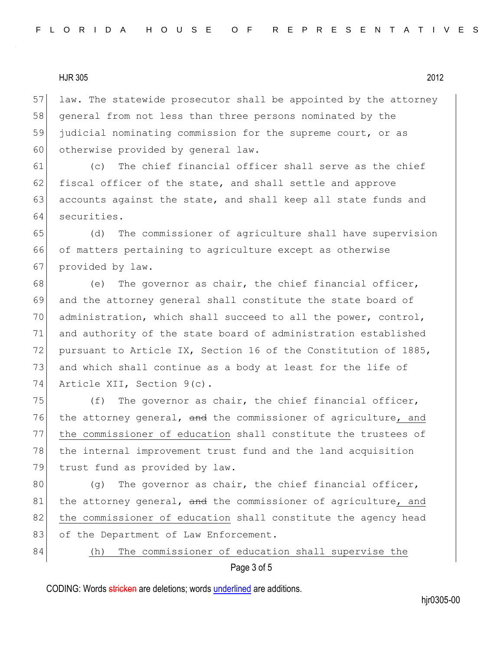57 law. The statewide prosecutor shall be appointed by the attorney 58 general from not less than three persons nominated by the 59 judicial nominating commission for the supreme court, or as 60 otherwise provided by general law.

61 (c) The chief financial officer shall serve as the chief 62 fiscal officer of the state, and shall settle and approve 63 accounts against the state, and shall keep all state funds and 64 securities.

65 (d) The commissioner of agriculture shall have supervision 66 of matters pertaining to agriculture except as otherwise 67 provided by law.

68 (e) The governor as chair, the chief financial officer, 69 and the attorney general shall constitute the state board of 70 administration, which shall succeed to all the power, control, 71 and authority of the state board of administration established 72 pursuant to Article IX, Section 16 of the Constitution of 1885, 73 and which shall continue as a body at least for the life of 74 Article XII, Section 9(c).

75  $( f)$  The governor as chair, the chief financial officer, 76 the attorney general, and the commissioner of agriculture, and 77 the commissioner of education shall constitute the trustees of 78 the internal improvement trust fund and the land acquisition 79 trust fund as provided by law.

 $80$  (q) The governor as chair, the chief financial officer, 81 the attorney general, and the commissioner of agriculture, and 82 the commissioner of education shall constitute the agency head 83 of the Department of Law Enforcement.

84 (h) The commissioner of education shall supervise the

# Page 3 of 5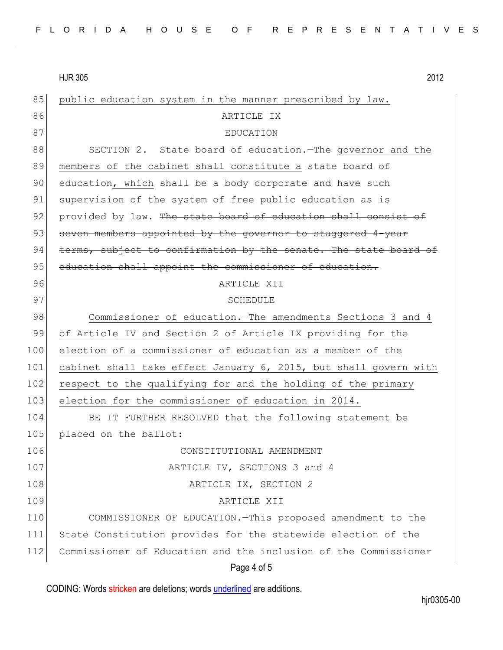| 85  | public education system in the manner prescribed by law.         |
|-----|------------------------------------------------------------------|
| 86  | ARTICLE IX                                                       |
| 87  | EDUCATION                                                        |
| 88  | SECTION 2. State board of education. The governor and the        |
| 89  | members of the cabinet shall constitute a state board of         |
| 90  | education, which shall be a body corporate and have such         |
| 91  | supervision of the system of free public education as is         |
| 92  | provided by law. The state board of education shall consist of   |
| 93  | seven members appointed by the governor to staggered 4-year      |
| 94  | terms, subject to confirmation by the senate. The state board of |
| 95  | education shall appoint the commissioner of education.           |
| 96  | ARTICLE XII                                                      |
| 97  | <b>SCHEDULE</b>                                                  |
| 98  | Commissioner of education. The amendments Sections 3 and 4       |
| 99  | of Article IV and Section 2 of Article IX providing for the      |
| 100 | election of a commissioner of education as a member of the       |
| 101 | cabinet shall take effect January 6, 2015, but shall govern with |
| 102 | respect to the qualifying for and the holding of the primary     |
| 103 | election for the commissioner of education in 2014.              |
| 104 | BE IT FURTHER RESOLVED that the following statement be           |
| 105 | placed on the ballot:                                            |
| 106 | CONSTITUTIONAL AMENDMENT                                         |
| 107 | ARTICLE IV, SECTIONS 3 and 4                                     |
| 108 | ARTICLE IX, SECTION 2                                            |
| 109 | ARTICLE XII                                                      |
| 110 | COMMISSIONER OF EDUCATION. This proposed amendment to the        |
| 111 | State Constitution provides for the statewide election of the    |
| 112 | Commissioner of Education and the inclusion of the Commissioner  |
|     | Page 4 of 5                                                      |